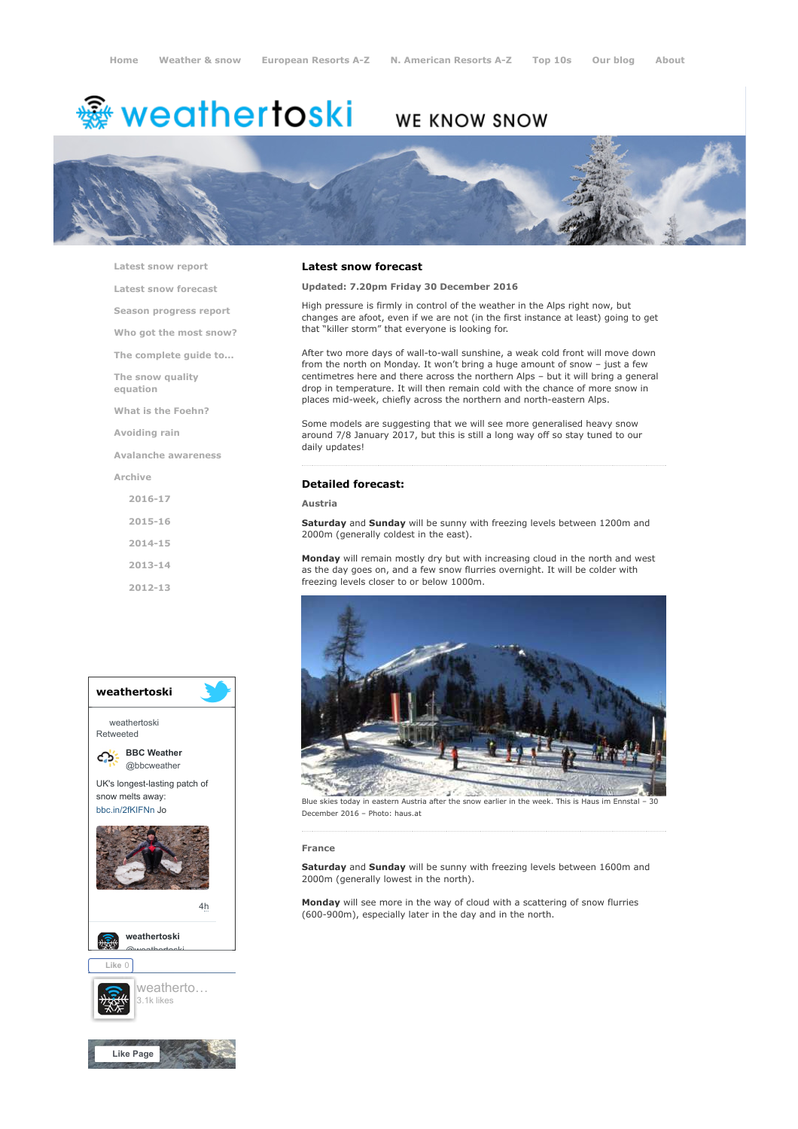# <del>鑾</del> weathertoski

# WE KNOW SNOW



[Latest snow report](https://www.weathertoski.co.uk/weather-snow/latest-snow-report/)

[Latest snow forecast](https://www.weathertoski.co.uk/weather-snow/latest-snow-forecast/)

[Season progress report](https://www.weathertoski.co.uk/weather-snow/season-progress-report/)

[Who got the most snow?](https://www.weathertoski.co.uk/weather-snow/who-got-the-most-snow/)

[The complete guide to...](https://www.weathertoski.co.uk/weather-snow/the-complete-guide-to/)

[The snow quality](https://www.weathertoski.co.uk/weather-snow/the-snow-quality-equation/)

[What is the Foehn?](https://www.weathertoski.co.uk/weather-snow/what-is-the-foehn/)

[Avoiding rain](https://www.weathertoski.co.uk/weather-snow/avoiding-rain/)

[Avalanche awareness](https://www.weathertoski.co.uk/weather-snow/avalanche-awareness/)

[Archive](https://www.weathertoski.co.uk/weather-snow/archive/)

equation

[2016-17](https://www.weathertoski.co.uk/weather-snow/archive/2016-17/) [2015-16](https://www.weathertoski.co.uk/weather-snow/archive/2015-16/) [2014-15](https://www.weathertoski.co.uk/weather-snow/archive/2014-15/) [2013-14](https://www.weathertoski.co.uk/weather-snow/archive/2013-14/)

[2012-13](https://www.weathertoski.co.uk/weather-snow/archive/2012-13/)



# Latest snow forecast

# Updated: 7.20pm Friday 30 December 2016

High pressure is firmly in control of the weather in the Alps right now, but changes are afoot, even if we are not (in the first instance at least) going to get that "killer storm" that everyone is looking for.

After two more days of wall-to-wall sunshine, a weak cold front will move down from the north on Monday. It won't bring a huge amount of snow – just a few centimetres here and there across the northern Alps – but it will bring a general drop in temperature. It will then remain cold with the chance of more snow in places mid-week, chiefly across the northern and north-eastern Alps.

Some models are suggesting that we will see more generalised heavy snow around 7/8 January 2017, but this is still a long way off so stay tuned to our daily updates!

# Detailed forecast:

### Austria

Saturday and Sunday will be sunny with freezing levels between 1200m and 2000m (generally coldest in the east).

**Monday** will remain mostly dry but with increasing cloud in the north and west as the day goes on, and a few snow flurries overnight. It will be colder with freezing levels closer to or below 1000m.



Blue skies today in eastern Austria after the snow earlier in the week. This is Haus im Ennstal December 2016 – Photo: haus.at

#### France

Saturday and Sunday will be sunny with freezing levels between 1600m and 2000m (generally lowest in the north).

Monday will see more in the way of cloud with a scattering of snow flurries (600-900m), especially later in the day and in the north.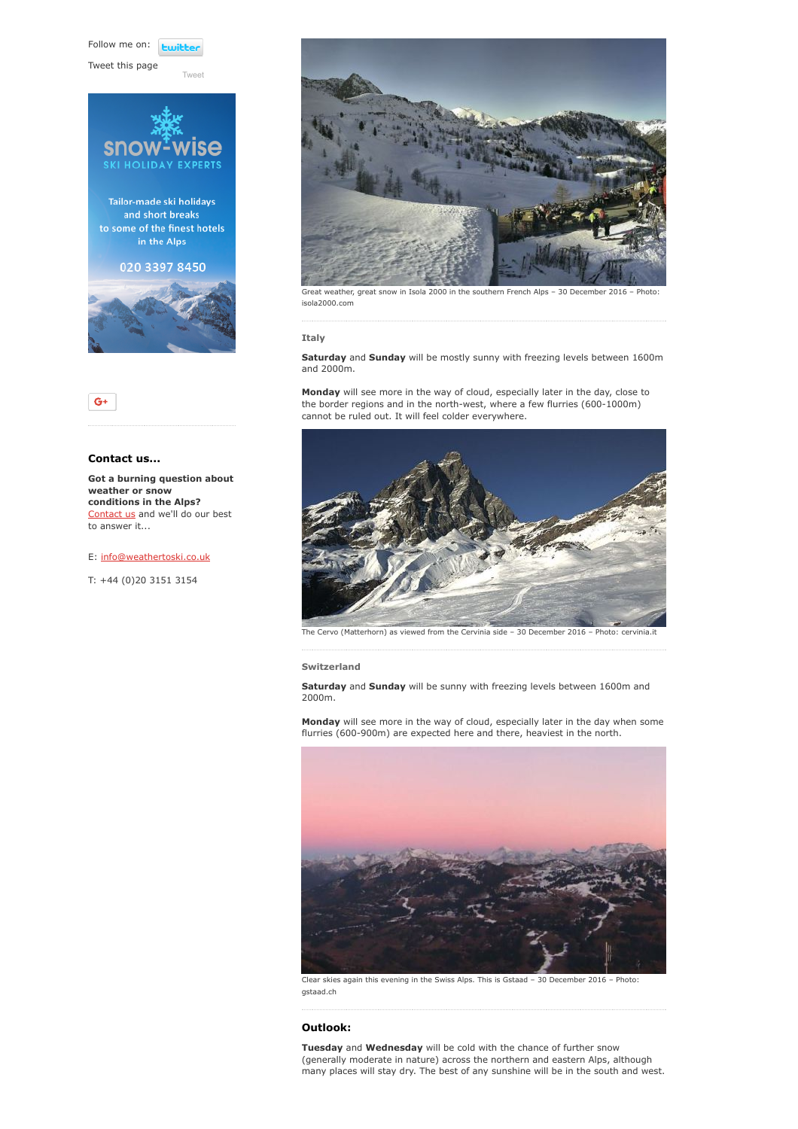Follow me on: **Lwitt** 

[Tweet](https://twitter.com/intent/tweet?original_referer=https%3A%2F%2Fwww.weathertoski.co.uk%2Fweather-snow%2Farchive%2Fsnow-forecast-30-12-2016%2F&ref_src=twsrc%5Etfw&text=Weather%20to%20ski%20-%20Snow%20forecast%20-%2030%20December%202016&tw_p=tweetbutton&url=https%3A%2F%2Fwww.weathertoski.co.uk%2Fweather-snow%2Farchive%2Fsnow-forecast-30-12-2016%2F)

Tweet this page





# Contact us...

Got a burning question about weather or snow conditions in the Alps? [Contact us](https://www.weathertoski.co.uk/about-1/contact-us/) and we'll do our best to answer it...

# E: [info@weathertoski.co.uk](mailto:fraser@weathertoski.co.uk)

T: +44 (0)20 3151 3154



Great weather, great snow in Isola 2000 in the southern French Alps – 30 December 2016 – Photo: isola2000.com

# Italy

Saturday and Sunday will be mostly sunny with freezing levels between 1600m and 2000m.

Monday will see more in the way of cloud, especially later in the day, close to the border regions and in the north-west, where a few flurries (600-1000m) cannot be ruled out. It will feel colder everywhere.



The Cervo (Matterhorn) as viewed from the Cervinia side – 30 December 2016 – Photo: cervinia.it

#### Switzerland

Saturday and Sunday will be sunny with freezing levels between 1600m and 2000m.

Monday will see more in the way of cloud, especially later in the day when some flurries (600-900m) are expected here and there, heaviest in the north.



Clear skies again this evening in the Swiss Alps. This is Gstaad – 30 December 2016 – Photo: gstaad.ch

# Outlook:

Tuesday and Wednesday will be cold with the chance of further snow (generally moderate in nature) across the northern and eastern Alps, although many places will stay dry. The best of any sunshine will be in the south and west.